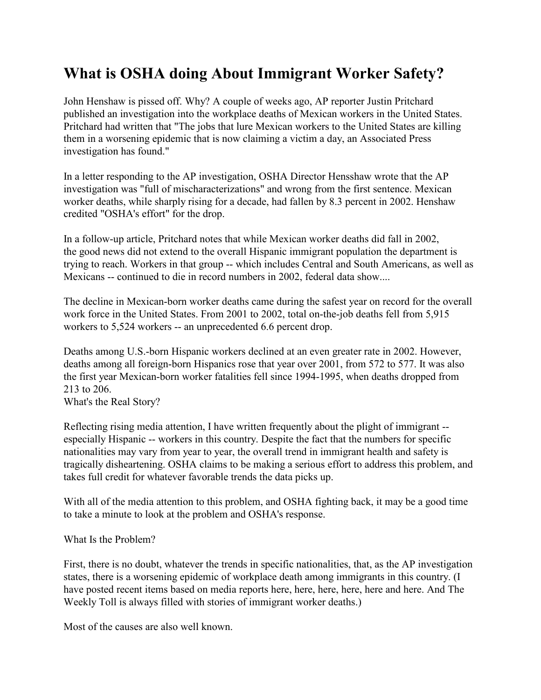## **What is OSHA doing About Immigrant Worker Safety?**

John Henshaw is pissed off. Why? A couple of weeks ago, AP reporter Justin Pritchard published an investigation into the workplace deaths of Mexican workers in the United States. Pritchard had written that "The jobs that lure Mexican workers to the United States are killing them in a worsening epidemic that is now claiming a victim a day, an Associated Press investigation has found."

In a letter responding to the AP investigation, OSHA Director Hensshaw wrote that the AP investigation was "full of mischaracterizations" and wrong from the first sentence. Mexican worker deaths, while sharply rising for a decade, had fallen by 8.3 percent in 2002. Henshaw credited "OSHA's effort" for the drop.

In a follow-up article, Pritchard notes that while Mexican worker deaths did fall in 2002, the good news did not extend to the overall Hispanic immigrant population the department is trying to reach. Workers in that group -- which includes Central and South Americans, as well as Mexicans -- continued to die in record numbers in 2002, federal data show....

The decline in Mexican-born worker deaths came during the safest year on record for the overall work force in the United States. From 2001 to 2002, total on-the-job deaths fell from 5,915 workers to 5,524 workers -- an unprecedented 6.6 percent drop.

Deaths among U.S.-born Hispanic workers declined at an even greater rate in 2002. However, deaths among all foreign-born Hispanics rose that year over 2001, from 572 to 577. It was also the first year Mexican-born worker fatalities fell since 1994-1995, when deaths dropped from 213 to 206.

What's the Real Story?

Reflecting rising media attention, I have written frequently about the plight of immigrant - especially Hispanic -- workers in this country. Despite the fact that the numbers for specific nationalities may vary from year to year, the overall trend in immigrant health and safety is tragically disheartening. OSHA claims to be making a serious effort to address this problem, and takes full credit for whatever favorable trends the data picks up.

With all of the media attention to this problem, and OSHA fighting back, it may be a good time to take a minute to look at the problem and OSHA's response.

What Is the Problem?

First, there is no doubt, whatever the trends in specific nationalities, that, as the AP investigation states, there is a worsening epidemic of workplace death among immigrants in this country. (I have posted recent items based on media reports here, here, here, here, here and here. And The Weekly Toll is always filled with stories of immigrant worker deaths.)

Most of the causes are also well known.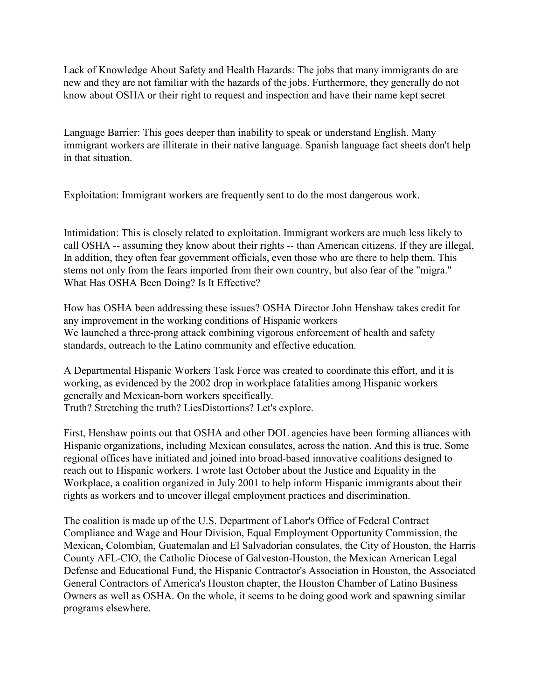Lack of Knowledge About Safety and Health Hazards: The jobs that many immigrants do are new and they are not familiar with the hazards of the jobs. Furthermore, they generally do not know about OSHA or their right to request and inspection and have their name kept secret

Language Barrier: This goes deeper than inability to speak or understand English. Many immigrant workers are illiterate in their native language. Spanish language fact sheets don't help in that situation.

Exploitation: Immigrant workers are frequently sent to do the most dangerous work.

Intimidation: This is closely related to exploitation. Immigrant workers are much less likely to call OSHA -- assuming they know about their rights -- than American citizens. If they are illegal, In addition, they often fear government officials, even those who are there to help them. This stems not only from the fears imported from their own country, but also fear of the "migra." What Has OSHA Been Doing? Is It Effective?

How has OSHA been addressing these issues? OSHA Director John Henshaw takes credit for any improvement in the working conditions of Hispanic workers We launched a three-prong attack combining vigorous enforcement of health and safety standards, outreach to the Latino community and effective education.

A Departmental Hispanic Workers Task Force was created to coordinate this effort, and it is working, as evidenced by the 2002 drop in workplace fatalities among Hispanic workers generally and Mexican-born workers specifically. Truth? Stretching the truth? LiesDistortions? Let's explore.

First, Henshaw points out that OSHA and other DOL agencies have been forming alliances with Hispanic organizations, including Mexican consulates, across the nation. And this is true. Some regional offices have initiated and joined into broad-based innovative coalitions designed to reach out to Hispanic workers. I wrote last October about the Justice and Equality in the Workplace, a coalition organized in July 2001 to help inform Hispanic immigrants about their rights as workers and to uncover illegal employment practices and discrimination.

The coalition is made up of the U.S. Department of Labor's Office of Federal Contract Compliance and Wage and Hour Division, Equal Employment Opportunity Commission, the Mexican, Colombian, Guatemalan and El Salvadorian consulates, the City of Houston, the Harris County AFL-CIO, the Catholic Diocese of Galveston-Houston, the Mexican American Legal Defense and Educational Fund, the Hispanic Contractor's Association in Houston, the Associated General Contractors of America's Houston chapter, the Houston Chamber of Latino Business Owners as well as OSHA. On the whole, it seems to be doing good work and spawning similar programs elsewhere.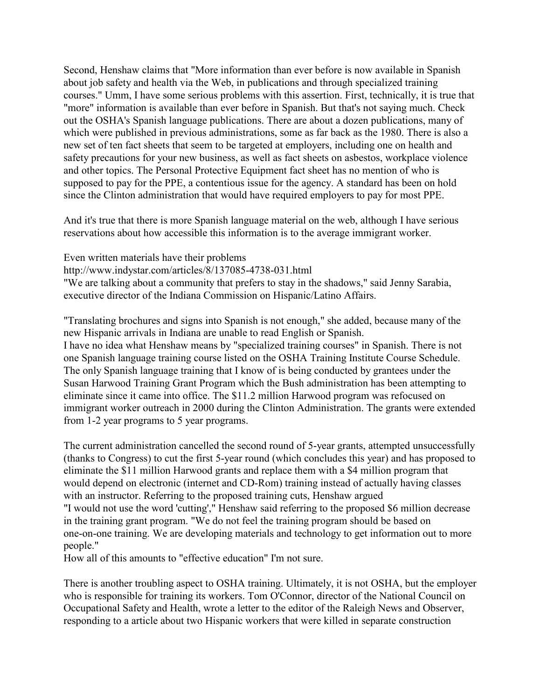Second, Henshaw claims that "More information than ever before is now available in Spanish about job safety and health via the Web, in publications and through specialized training courses." Umm, I have some serious problems with this assertion. First, technically, it is true that "more" information is available than ever before in Spanish. But that's not saying much. Check out the OSHA's Spanish language publications. There are about a dozen publications, many of which were published in previous administrations, some as far back as the 1980. There is also a new set of ten fact sheets that seem to be targeted at employers, including one on health and safety precautions for your new business, as well as fact sheets on asbestos, workplace violence and other topics. The Personal Protective Equipment fact sheet has no mention of who is supposed to pay for the PPE, a contentious issue for the agency. A standard has been on hold since the Clinton administration that would have required employers to pay for most PPE.

And it's true that there is more Spanish language material on the web, although I have serious reservations about how accessible this information is to the average immigrant worker.

Even written materials have their problems

http://www.indystar.com/articles/8/137085-4738-031.html

"We are talking about a community that prefers to stay in the shadows," said Jenny Sarabia, executive director of the Indiana Commission on Hispanic/Latino Affairs.

"Translating brochures and signs into Spanish is not enough," she added, because many of the new Hispanic arrivals in Indiana are unable to read English or Spanish. I have no idea what Henshaw means by "specialized training courses" in Spanish. There is not one Spanish language training course listed on the OSHA Training Institute Course Schedule. The only Spanish language training that I know of is being conducted by grantees under the Susan Harwood Training Grant Program which the Bush administration has been attempting to eliminate since it came into office. The \$11.2 million Harwood program was refocused on immigrant worker outreach in 2000 during the Clinton Administration. The grants were extended from 1-2 year programs to 5 year programs.

The current administration cancelled the second round of 5-year grants, attempted unsuccessfully (thanks to Congress) to cut the first 5-year round (which concludes this year) and has proposed to eliminate the \$11 million Harwood grants and replace them with a \$4 million program that would depend on electronic (internet and CD-Rom) training instead of actually having classes with an instructor. Referring to the proposed training cuts, Henshaw argued "I would not use the word 'cutting'," Henshaw said referring to the proposed \$6 million decrease in the training grant program. "We do not feel the training program should be based on one-on-one training. We are developing materials and technology to get information out to more people."

How all of this amounts to "effective education" I'm not sure.

There is another troubling aspect to OSHA training. Ultimately, it is not OSHA, but the employer who is responsible for training its workers. Tom O'Connor, director of the National Council on Occupational Safety and Health, wrote a letter to the editor of the Raleigh News and Observer, responding to a article about two Hispanic workers that were killed in separate construction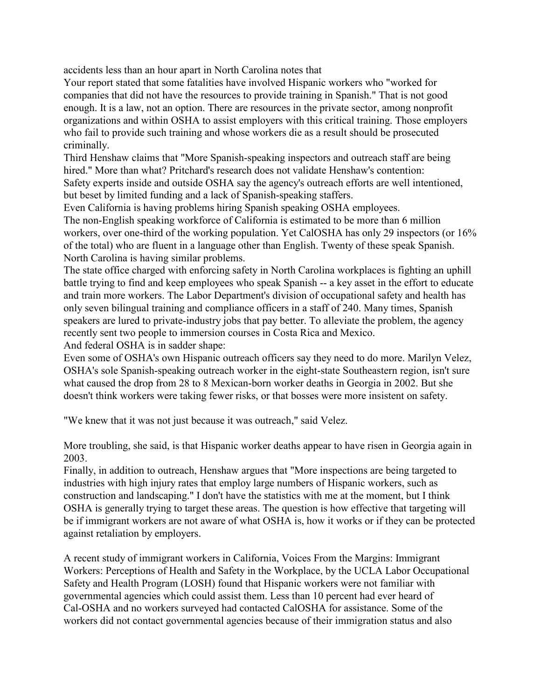accidents less than an hour apart in North Carolina notes that

Your report stated that some fatalities have involved Hispanic workers who "worked for companies that did not have the resources to provide training in Spanish." That is not good enough. It is a law, not an option. There are resources in the private sector, among nonprofit organizations and within OSHA to assist employers with this critical training. Those employers who fail to provide such training and whose workers die as a result should be prosecuted criminally.

Third Henshaw claims that "More Spanish-speaking inspectors and outreach staff are being hired." More than what? Pritchard's research does not validate Henshaw's contention: Safety experts inside and outside OSHA say the agency's outreach efforts are well intentioned, but beset by limited funding and a lack of Spanish-speaking staffers.

Even California is having problems hiring Spanish speaking OSHA employees.

The non-English speaking workforce of California is estimated to be more than 6 million workers, over one-third of the working population. Yet CalOSHA has only 29 inspectors (or 16% of the total) who are fluent in a language other than English. Twenty of these speak Spanish. North Carolina is having similar problems.

The state office charged with enforcing safety in North Carolina workplaces is fighting an uphill battle trying to find and keep employees who speak Spanish -- a key asset in the effort to educate and train more workers. The Labor Department's division of occupational safety and health has only seven bilingual training and compliance officers in a staff of 240. Many times, Spanish speakers are lured to private-industry jobs that pay better. To alleviate the problem, the agency recently sent two people to immersion courses in Costa Rica and Mexico. And federal OSHA is in sadder shape:

Even some of OSHA's own Hispanic outreach officers say they need to do more. Marilyn Velez, OSHA's sole Spanish-speaking outreach worker in the eight-state Southeastern region, isn't sure what caused the drop from 28 to 8 Mexican-born worker deaths in Georgia in 2002. But she doesn't think workers were taking fewer risks, or that bosses were more insistent on safety.

"We knew that it was not just because it was outreach," said Velez.

More troubling, she said, is that Hispanic worker deaths appear to have risen in Georgia again in 2003.

Finally, in addition to outreach, Henshaw argues that "More inspections are being targeted to industries with high injury rates that employ large numbers of Hispanic workers, such as construction and landscaping." I don't have the statistics with me at the moment, but I think OSHA is generally trying to target these areas. The question is how effective that targeting will be if immigrant workers are not aware of what OSHA is, how it works or if they can be protected against retaliation by employers.

A recent study of immigrant workers in California, Voices From the Margins: Immigrant Workers: Perceptions of Health and Safety in the Workplace, by the UCLA Labor Occupational Safety and Health Program (LOSH) found that Hispanic workers were not familiar with governmental agencies which could assist them. Less than 10 percent had ever heard of Cal-OSHA and no workers surveyed had contacted CalOSHA for assistance. Some of the workers did not contact governmental agencies because of their immigration status and also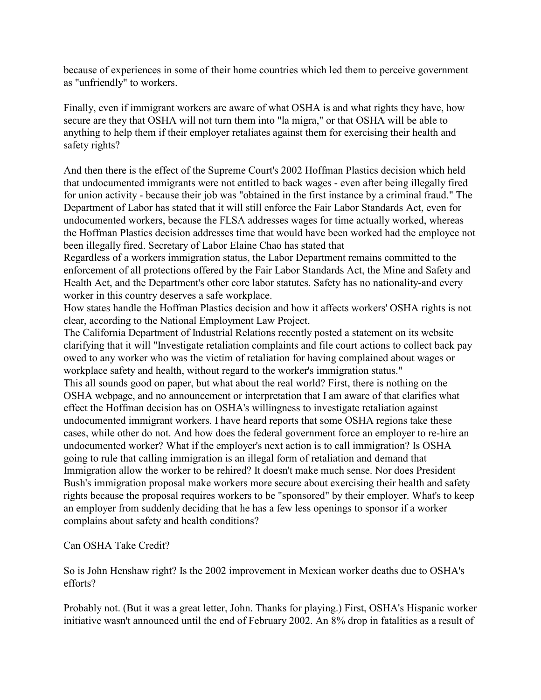because of experiences in some of their home countries which led them to perceive government as "unfriendly" to workers.

Finally, even if immigrant workers are aware of what OSHA is and what rights they have, how secure are they that OSHA will not turn them into "la migra," or that OSHA will be able to anything to help them if their employer retaliates against them for exercising their health and safety rights?

And then there is the effect of the Supreme Court's 2002 Hoffman Plastics decision which held that undocumented immigrants were not entitled to back wages - even after being illegally fired for union activity - because their job was "obtained in the first instance by a criminal fraud." The Department of Labor has stated that it will still enforce the Fair Labor Standards Act, even for undocumented workers, because the FLSA addresses wages for time actually worked, whereas the Hoffman Plastics decision addresses time that would have been worked had the employee not been illegally fired. Secretary of Labor Elaine Chao has stated that

Regardless of a workers immigration status, the Labor Department remains committed to the enforcement of all protections offered by the Fair Labor Standards Act, the Mine and Safety and Health Act, and the Department's other core labor statutes. Safety has no nationality-and every worker in this country deserves a safe workplace.

How states handle the Hoffman Plastics decision and how it affects workers' OSHA rights is not clear, according to the National Employment Law Project.

The California Department of Industrial Relations recently posted a statement on its website clarifying that it will "Investigate retaliation complaints and file court actions to collect back pay owed to any worker who was the victim of retaliation for having complained about wages or workplace safety and health, without regard to the worker's immigration status."

This all sounds good on paper, but what about the real world? First, there is nothing on the OSHA webpage, and no announcement or interpretation that I am aware of that clarifies what effect the Hoffman decision has on OSHA's willingness to investigate retaliation against undocumented immigrant workers. I have heard reports that some OSHA regions take these cases, while other do not. And how does the federal government force an employer to re-hire an undocumented worker? What if the employer's next action is to call immigration? Is OSHA going to rule that calling immigration is an illegal form of retaliation and demand that Immigration allow the worker to be rehired? It doesn't make much sense. Nor does President Bush's immigration proposal make workers more secure about exercising their health and safety rights because the proposal requires workers to be "sponsored" by their employer. What's to keep an employer from suddenly deciding that he has a few less openings to sponsor if a worker complains about safety and health conditions?

## Can OSHA Take Credit?

So is John Henshaw right? Is the 2002 improvement in Mexican worker deaths due to OSHA's efforts?

Probably not. (But it was a great letter, John. Thanks for playing.) First, OSHA's Hispanic worker initiative wasn't announced until the end of February 2002. An 8% drop in fatalities as a result of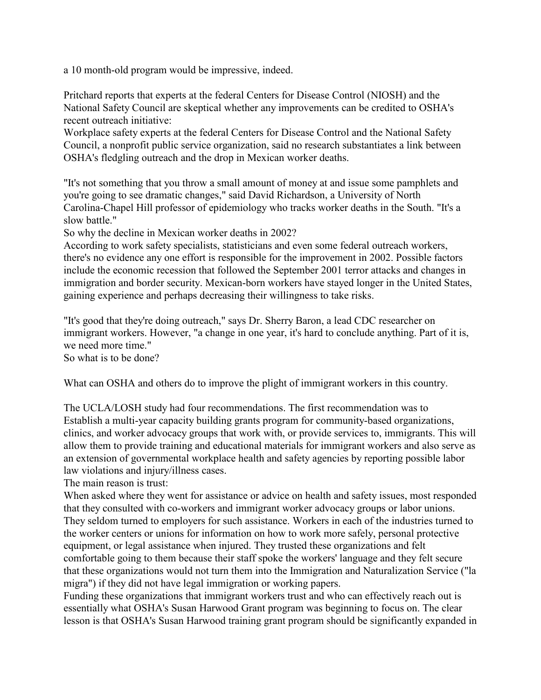a 10 month-old program would be impressive, indeed.

Pritchard reports that experts at the federal Centers for Disease Control (NIOSH) and the National Safety Council are skeptical whether any improvements can be credited to OSHA's recent outreach initiative:

Workplace safety experts at the federal Centers for Disease Control and the National Safety Council, a nonprofit public service organization, said no research substantiates a link between OSHA's fledgling outreach and the drop in Mexican worker deaths.

"It's not something that you throw a small amount of money at and issue some pamphlets and you're going to see dramatic changes," said David Richardson, a University of North Carolina-Chapel Hill professor of epidemiology who tracks worker deaths in the South. "It's a slow battle."

So why the decline in Mexican worker deaths in 2002?

According to work safety specialists, statisticians and even some federal outreach workers, there's no evidence any one effort is responsible for the improvement in 2002. Possible factors include the economic recession that followed the September 2001 terror attacks and changes in immigration and border security. Mexican-born workers have stayed longer in the United States, gaining experience and perhaps decreasing their willingness to take risks.

"It's good that they're doing outreach," says Dr. Sherry Baron, a lead CDC researcher on immigrant workers. However, "a change in one year, it's hard to conclude anything. Part of it is, we need more time."

So what is to be done?

What can OSHA and others do to improve the plight of immigrant workers in this country.

The UCLA/LOSH study had four recommendations. The first recommendation was to Establish a multi-year capacity building grants program for community-based organizations, clinics, and worker advocacy groups that work with, or provide services to, immigrants. This will allow them to provide training and educational materials for immigrant workers and also serve as an extension of governmental workplace health and safety agencies by reporting possible labor law violations and injury/illness cases.

The main reason is trust:

When asked where they went for assistance or advice on health and safety issues, most responded that they consulted with co-workers and immigrant worker advocacy groups or labor unions. They seldom turned to employers for such assistance. Workers in each of the industries turned to the worker centers or unions for information on how to work more safely, personal protective equipment, or legal assistance when injured. They trusted these organizations and felt comfortable going to them because their staff spoke the workers' language and they felt secure that these organizations would not turn them into the Immigration and Naturalization Service ("la migra") if they did not have legal immigration or working papers.

Funding these organizations that immigrant workers trust and who can effectively reach out is essentially what OSHA's Susan Harwood Grant program was beginning to focus on. The clear lesson is that OSHA's Susan Harwood training grant program should be significantly expanded in